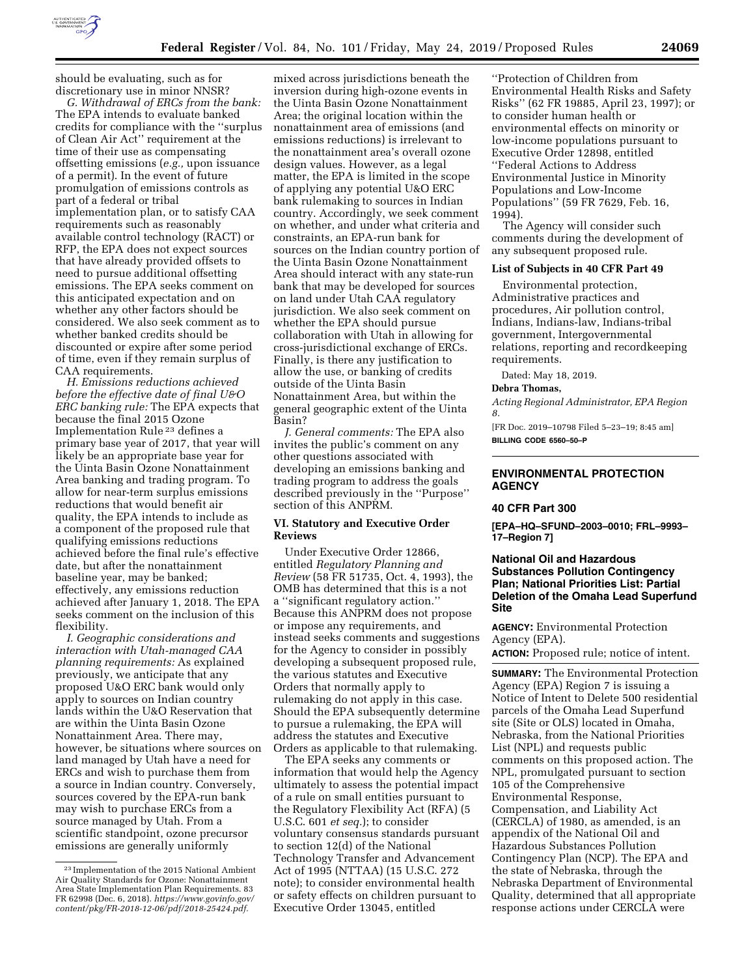

should be evaluating, such as for discretionary use in minor NNSR?

*G. Withdrawal of ERCs from the bank:*  The EPA intends to evaluate banked credits for compliance with the ''surplus of Clean Air Act'' requirement at the time of their use as compensating offsetting emissions (*e.g.,* upon issuance of a permit). In the event of future promulgation of emissions controls as part of a federal or tribal implementation plan, or to satisfy CAA requirements such as reasonably available control technology (RACT) or RFP, the EPA does not expect sources that have already provided offsets to need to pursue additional offsetting emissions. The EPA seeks comment on this anticipated expectation and on whether any other factors should be considered. We also seek comment as to whether banked credits should be discounted or expire after some period of time, even if they remain surplus of CAA requirements.

*H. Emissions reductions achieved before the effective date of final U&O ERC banking rule:* The EPA expects that because the final 2015 Ozone Implementation Rule 23 defines a primary base year of 2017, that year will likely be an appropriate base year for the Uinta Basin Ozone Nonattainment Area banking and trading program. To allow for near-term surplus emissions reductions that would benefit air quality, the EPA intends to include as a component of the proposed rule that qualifying emissions reductions achieved before the final rule's effective date, but after the nonattainment baseline year, may be banked; effectively, any emissions reduction achieved after January 1, 2018. The EPA seeks comment on the inclusion of this flexibility.

*I. Geographic considerations and interaction with Utah-managed CAA planning requirements:* As explained previously, we anticipate that any proposed U&O ERC bank would only apply to sources on Indian country lands within the U&O Reservation that are within the Uinta Basin Ozone Nonattainment Area. There may, however, be situations where sources on land managed by Utah have a need for ERCs and wish to purchase them from a source in Indian country. Conversely, sources covered by the EPA-run bank may wish to purchase ERCs from a source managed by Utah. From a scientific standpoint, ozone precursor emissions are generally uniformly

mixed across jurisdictions beneath the inversion during high-ozone events in the Uinta Basin Ozone Nonattainment Area; the original location within the nonattainment area of emissions (and emissions reductions) is irrelevant to the nonattainment area's overall ozone design values. However, as a legal matter, the EPA is limited in the scope of applying any potential U&O ERC bank rulemaking to sources in Indian country. Accordingly, we seek comment on whether, and under what criteria and constraints, an EPA-run bank for sources on the Indian country portion of the Uinta Basin Ozone Nonattainment Area should interact with any state-run bank that may be developed for sources on land under Utah CAA regulatory jurisdiction. We also seek comment on whether the EPA should pursue collaboration with Utah in allowing for cross-jurisdictional exchange of ERCs. Finally, is there any justification to allow the use, or banking of credits outside of the Uinta Basin Nonattainment Area, but within the general geographic extent of the Uinta Basin?

*J. General comments:* The EPA also invites the public's comment on any other questions associated with developing an emissions banking and trading program to address the goals described previously in the ''Purpose'' section of this ANPRM.

# **VI. Statutory and Executive Order Reviews**

Under Executive Order 12866, entitled *Regulatory Planning and Review* (58 FR 51735, Oct. 4, 1993), the OMB has determined that this is a not a ''significant regulatory action.'' Because this ANPRM does not propose or impose any requirements, and instead seeks comments and suggestions for the Agency to consider in possibly developing a subsequent proposed rule, the various statutes and Executive Orders that normally apply to rulemaking do not apply in this case. Should the EPA subsequently determine to pursue a rulemaking, the EPA will address the statutes and Executive Orders as applicable to that rulemaking.

The EPA seeks any comments or information that would help the Agency ultimately to assess the potential impact of a rule on small entities pursuant to the Regulatory Flexibility Act (RFA) (5 U.S.C. 601 *et seq.*); to consider voluntary consensus standards pursuant to section 12(d) of the National Technology Transfer and Advancement Act of 1995 (NTTAA) (15 U.S.C. 272 note); to consider environmental health or safety effects on children pursuant to Executive Order 13045, entitled

''Protection of Children from Environmental Health Risks and Safety Risks'' (62 FR 19885, April 23, 1997); or to consider human health or environmental effects on minority or low-income populations pursuant to Executive Order 12898, entitled ''Federal Actions to Address Environmental Justice in Minority Populations and Low-Income Populations'' (59 FR 7629, Feb. 16, 1994).

The Agency will consider such comments during the development of any subsequent proposed rule.

### **List of Subjects in 40 CFR Part 49**

Environmental protection, Administrative practices and procedures, Air pollution control, Indians, Indians-law, Indians-tribal government, Intergovernmental relations, reporting and recordkeeping requirements.

Dated: May 18, 2019.

### **Debra Thomas,**

*Acting Regional Administrator, EPA Region 8.* 

[FR Doc. 2019–10798 Filed 5–23–19; 8:45 am] **BILLING CODE 6560–50–P** 

# **ENVIRONMENTAL PROTECTION AGENCY**

#### **40 CFR Part 300**

**[EPA–HQ–SFUND–2003–0010; FRL–9993– 17–Region 7]** 

# **National Oil and Hazardous Substances Pollution Contingency Plan; National Priorities List: Partial Deletion of the Omaha Lead Superfund Site**

**AGENCY:** Environmental Protection Agency (EPA).

**ACTION:** Proposed rule; notice of intent.

**SUMMARY:** The Environmental Protection Agency (EPA) Region 7 is issuing a Notice of Intent to Delete 500 residential parcels of the Omaha Lead Superfund site (Site or OLS) located in Omaha, Nebraska, from the National Priorities List (NPL) and requests public comments on this proposed action. The NPL, promulgated pursuant to section 105 of the Comprehensive Environmental Response, Compensation, and Liability Act (CERCLA) of 1980, as amended, is an appendix of the National Oil and Hazardous Substances Pollution Contingency Plan (NCP). The EPA and the state of Nebraska, through the Nebraska Department of Environmental Quality, determined that all appropriate response actions under CERCLA were

<sup>23</sup> Implementation of the 2015 National Ambient Air Quality Standards for Ozone: Nonattainment Area State Implementation Plan Requirements. 83 FR 62998 (Dec. 6, 2018). *[https://www.govinfo.gov/](https://www.govinfo.gov/content/pkg/FR-2018-12-06/pdf/2018-25424.pdf) [content/pkg/FR-2018-12-06/pdf/2018-25424.pdf.](https://www.govinfo.gov/content/pkg/FR-2018-12-06/pdf/2018-25424.pdf)*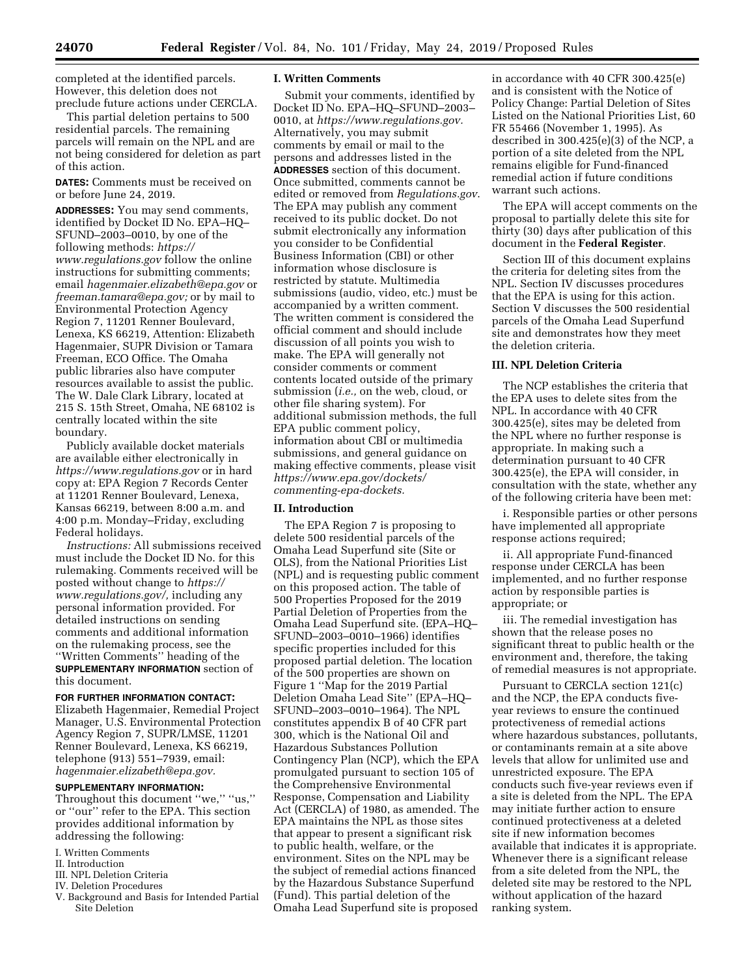completed at the identified parcels. However, this deletion does not preclude future actions under CERCLA.

This partial deletion pertains to 500 residential parcels. The remaining parcels will remain on the NPL and are not being considered for deletion as part of this action.

**DATES:** Comments must be received on or before June 24, 2019.

**ADDRESSES:** You may send comments, identified by Docket ID No. EPA–HQ– SFUND–2003–0010, by one of the following methods: *[https://](https://www.regulations.gov) [www.regulations.gov](https://www.regulations.gov)* follow the online instructions for submitting comments; email *[hagenmaier.elizabeth@epa.gov](mailto:hagenmaier.elizabeth@epa.gov)* or *[freeman.tamara@epa.gov;](mailto:freeman.tamara@epa.gov)* or by mail to Environmental Protection Agency Region 7, 11201 Renner Boulevard, Lenexa, KS 66219, Attention: Elizabeth Hagenmaier, SUPR Division or Tamara Freeman, ECO Office. The Omaha public libraries also have computer resources available to assist the public. The W. Dale Clark Library, located at 215 S. 15th Street, Omaha, NE 68102 is centrally located within the site boundary.

Publicly available docket materials are available either electronically in *<https://www.regulations.gov>* or in hard copy at: EPA Region 7 Records Center at 11201 Renner Boulevard, Lenexa, Kansas 66219, between 8:00 a.m. and 4:00 p.m. Monday–Friday, excluding Federal holidays.

*Instructions:* All submissions received must include the Docket ID No. for this rulemaking. Comments received will be posted without change to *[https://](https://www.regulations.gov/) [www.regulations.gov/,](https://www.regulations.gov/)* including any personal information provided. For detailed instructions on sending comments and additional information on the rulemaking process, see the ''Written Comments'' heading of the **SUPPLEMENTARY INFORMATION** section of this document.

**FOR FURTHER INFORMATION CONTACT:** 

Elizabeth Hagenmaier, Remedial Project Manager, U.S. Environmental Protection Agency Region 7, SUPR/LMSE, 11201 Renner Boulevard, Lenexa, KS 66219, telephone (913) 551–7939, email: *[hagenmaier.elizabeth@epa.gov.](mailto:hagenmaier.elizabeth@epa.gov)* 

#### **SUPPLEMENTARY INFORMATION:**

Throughout this document ''we,'' ''us,'' or ''our'' refer to the EPA. This section provides additional information by addressing the following:

- I. Written Comments
- II. Introduction
- III. NPL Deletion Criteria
- IV. Deletion Procedures
- V. Background and Basis for Intended Partial Site Deletion

### **I. Written Comments**

Submit your comments, identified by Docket ID No. EPA–HQ–SFUND–2003– 0010, at *[https://www.regulations.gov.](https://www.regulations.gov)*  Alternatively, you may submit comments by email or mail to the persons and addresses listed in the **ADDRESSES** section of this document. Once submitted, comments cannot be edited or removed from *Regulations.gov*. The EPA may publish any comment received to its public docket. Do not submit electronically any information you consider to be Confidential Business Information (CBI) or other information whose disclosure is restricted by statute. Multimedia submissions (audio, video, etc.) must be accompanied by a written comment. The written comment is considered the official comment and should include discussion of all points you wish to make. The EPA will generally not consider comments or comment contents located outside of the primary submission (*i.e.,* on the web, cloud, or other file sharing system). For additional submission methods, the full EPA public comment policy, information about CBI or multimedia submissions, and general guidance on making effective comments, please visit *[https://www.epa.gov/dockets/](https://www.epa.gov/dockets/commenting-epa-dockets)  [commenting-epa-dockets.](https://www.epa.gov/dockets/commenting-epa-dockets)* 

### **II. Introduction**

The EPA Region 7 is proposing to delete 500 residential parcels of the Omaha Lead Superfund site (Site or OLS), from the National Priorities List (NPL) and is requesting public comment on this proposed action. The table of 500 Properties Proposed for the 2019 Partial Deletion of Properties from the Omaha Lead Superfund site. (EPA–HQ– SFUND–2003–0010–1966) identifies specific properties included for this proposed partial deletion. The location of the 500 properties are shown on Figure 1 ''Map for the 2019 Partial Deletion Omaha Lead Site'' (EPA–HQ– SFUND–2003–0010–1964). The NPL constitutes appendix B of 40 CFR part 300, which is the National Oil and Hazardous Substances Pollution Contingency Plan (NCP), which the EPA promulgated pursuant to section 105 of the Comprehensive Environmental Response, Compensation and Liability Act (CERCLA) of 1980, as amended. The EPA maintains the NPL as those sites that appear to present a significant risk to public health, welfare, or the environment. Sites on the NPL may be the subject of remedial actions financed by the Hazardous Substance Superfund (Fund). This partial deletion of the Omaha Lead Superfund site is proposed

in accordance with 40 CFR 300.425(e) and is consistent with the Notice of Policy Change: Partial Deletion of Sites Listed on the National Priorities List, 60 FR 55466 (November 1, 1995). As described in 300.425(e)(3) of the NCP, a portion of a site deleted from the NPL remains eligible for Fund-financed remedial action if future conditions warrant such actions.

The EPA will accept comments on the proposal to partially delete this site for thirty (30) days after publication of this document in the **Federal Register**.

Section III of this document explains the criteria for deleting sites from the NPL. Section IV discusses procedures that the EPA is using for this action. Section V discusses the 500 residential parcels of the Omaha Lead Superfund site and demonstrates how they meet the deletion criteria.

# **III. NPL Deletion Criteria**

The NCP establishes the criteria that the EPA uses to delete sites from the NPL. In accordance with 40 CFR 300.425(e), sites may be deleted from the NPL where no further response is appropriate. In making such a determination pursuant to 40 CFR 300.425(e), the EPA will consider, in consultation with the state, whether any of the following criteria have been met:

i. Responsible parties or other persons have implemented all appropriate response actions required;

ii. All appropriate Fund-financed response under CERCLA has been implemented, and no further response action by responsible parties is appropriate; or

iii. The remedial investigation has shown that the release poses no significant threat to public health or the environment and, therefore, the taking of remedial measures is not appropriate.

Pursuant to CERCLA section 121(c) and the NCP, the EPA conducts fiveyear reviews to ensure the continued protectiveness of remedial actions where hazardous substances, pollutants, or contaminants remain at a site above levels that allow for unlimited use and unrestricted exposure. The EPA conducts such five-year reviews even if a site is deleted from the NPL. The EPA may initiate further action to ensure continued protectiveness at a deleted site if new information becomes available that indicates it is appropriate. Whenever there is a significant release from a site deleted from the NPL, the deleted site may be restored to the NPL without application of the hazard ranking system.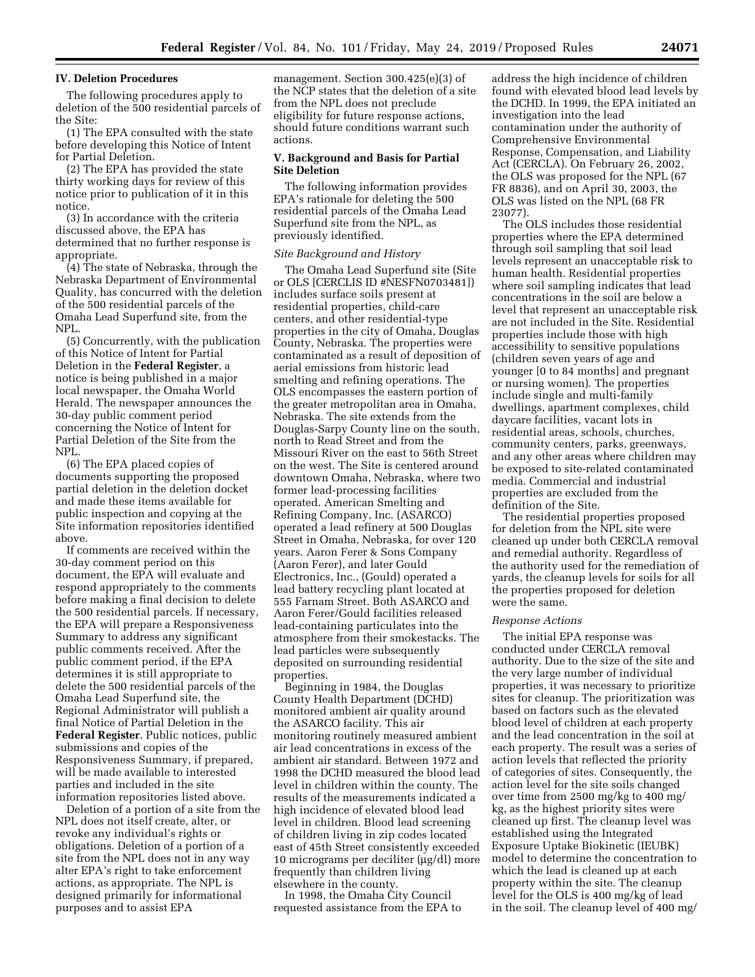# **IV. Deletion Procedures**

The following procedures apply to deletion of the 500 residential parcels of the Site:

(1) The EPA consulted with the state before developing this Notice of Intent for Partial Deletion.

(2) The EPA has provided the state thirty working days for review of this notice prior to publication of it in this notice.

(3) In accordance with the criteria discussed above, the EPA has determined that no further response is appropriate.

(4) The state of Nebraska, through the Nebraska Department of Environmental Quality, has concurred with the deletion of the 500 residential parcels of the Omaha Lead Superfund site, from the NPL.

(5) Concurrently, with the publication of this Notice of Intent for Partial Deletion in the **Federal Register**, a notice is being published in a major local newspaper, the Omaha World Herald. The newspaper announces the 30-day public comment period concerning the Notice of Intent for Partial Deletion of the Site from the NPL.

(6) The EPA placed copies of documents supporting the proposed partial deletion in the deletion docket and made these items available for public inspection and copying at the Site information repositories identified above.

If comments are received within the 30-day comment period on this document, the EPA will evaluate and respond appropriately to the comments before making a final decision to delete the 500 residential parcels. If necessary, the EPA will prepare a Responsiveness Summary to address any significant public comments received. After the public comment period, if the EPA determines it is still appropriate to delete the 500 residential parcels of the Omaha Lead Superfund site, the Regional Administrator will publish a final Notice of Partial Deletion in the **Federal Register**. Public notices, public submissions and copies of the Responsiveness Summary, if prepared, will be made available to interested parties and included in the site information repositories listed above.

Deletion of a portion of a site from the NPL does not itself create, alter, or revoke any individual's rights or obligations. Deletion of a portion of a site from the NPL does not in any way alter EPA's right to take enforcement actions, as appropriate. The NPL is designed primarily for informational purposes and to assist EPA

management. Section 300.425(e)(3) of the NCP states that the deletion of a site from the NPL does not preclude eligibility for future response actions, should future conditions warrant such actions.

### **V. Background and Basis for Partial Site Deletion**

The following information provides EPA's rationale for deleting the 500 residential parcels of the Omaha Lead Superfund site from the NPL, as previously identified.

#### *Site Background and History*

The Omaha Lead Superfund site (Site or OLS [CERCLIS ID #NESFN0703481]) includes surface soils present at residential properties, child-care centers, and other residential-type properties in the city of Omaha, Douglas County, Nebraska. The properties were contaminated as a result of deposition of aerial emissions from historic lead smelting and refining operations. The OLS encompasses the eastern portion of the greater metropolitan area in Omaha, Nebraska. The site extends from the Douglas-Sarpy County line on the south, north to Read Street and from the Missouri River on the east to 56th Street on the west. The Site is centered around downtown Omaha, Nebraska, where two former lead-processing facilities operated. American Smelting and Refining Company, Inc. (ASARCO) operated a lead refinery at 500 Douglas Street in Omaha, Nebraska, for over 120 years. Aaron Ferer & Sons Company (Aaron Ferer), and later Gould Electronics, Inc., (Gould) operated a lead battery recycling plant located at 555 Farnam Street. Both ASARCO and Aaron Ferer/Gould facilities released lead-containing particulates into the atmosphere from their smokestacks. The lead particles were subsequently deposited on surrounding residential properties.

Beginning in 1984, the Douglas County Health Department (DCHD) monitored ambient air quality around the ASARCO facility. This air monitoring routinely measured ambient air lead concentrations in excess of the ambient air standard. Between 1972 and 1998 the DCHD measured the blood lead level in children within the county. The results of the measurements indicated a high incidence of elevated blood lead level in children. Blood lead screening of children living in zip codes located east of 45th Street consistently exceeded 10 micrograms per deciliter (µg/dl) more frequently than children living elsewhere in the county.

In 1998, the Omaha City Council requested assistance from the EPA to

address the high incidence of children found with elevated blood lead levels by the DCHD. In 1999, the EPA initiated an investigation into the lead contamination under the authority of Comprehensive Environmental Response, Compensation, and Liability Act (CERCLA). On February 26, 2002, the OLS was proposed for the NPL (67 FR 8836), and on April 30, 2003, the OLS was listed on the NPL (68 FR 23077).

The OLS includes those residential properties where the EPA determined through soil sampling that soil lead levels represent an unacceptable risk to human health. Residential properties where soil sampling indicates that lead concentrations in the soil are below a level that represent an unacceptable risk are not included in the Site. Residential properties include those with high accessibility to sensitive populations (children seven years of age and younger [0 to 84 months] and pregnant or nursing women). The properties include single and multi-family dwellings, apartment complexes, child daycare facilities, vacant lots in residential areas, schools, churches, community centers, parks, greenways, and any other areas where children may be exposed to site-related contaminated media. Commercial and industrial properties are excluded from the definition of the Site.

The residential properties proposed for deletion from the NPL site were cleaned up under both CERCLA removal and remedial authority. Regardless of the authority used for the remediation of yards, the cleanup levels for soils for all the properties proposed for deletion were the same.

#### *Response Actions*

The initial EPA response was conducted under CERCLA removal authority. Due to the size of the site and the very large number of individual properties, it was necessary to prioritize sites for cleanup. The prioritization was based on factors such as the elevated blood level of children at each property and the lead concentration in the soil at each property. The result was a series of action levels that reflected the priority of categories of sites. Consequently, the action level for the site soils changed over time from 2500 mg/kg to 400 mg/ kg, as the highest priority sites were cleaned up first. The cleanup level was established using the Integrated Exposure Uptake Biokinetic (IEUBK) model to determine the concentration to which the lead is cleaned up at each property within the site. The cleanup level for the OLS is 400 mg/kg of lead in the soil. The cleanup level of 400 mg/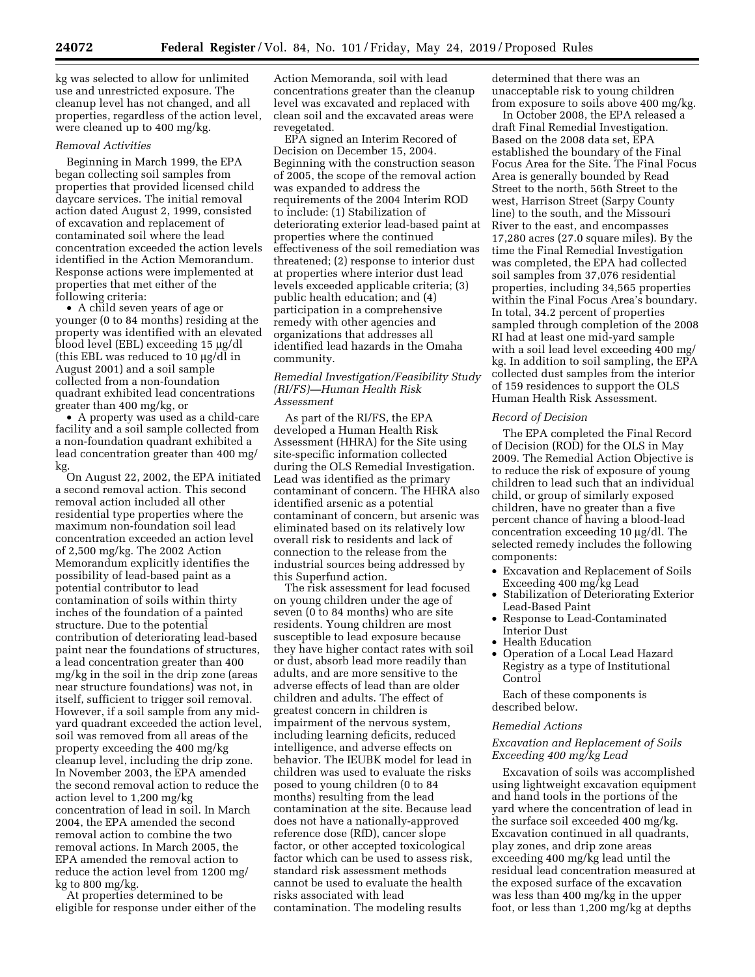kg was selected to allow for unlimited use and unrestricted exposure. The cleanup level has not changed, and all properties, regardless of the action level, were cleaned up to 400 mg/kg.

#### *Removal Activities*

Beginning in March 1999, the EPA began collecting soil samples from properties that provided licensed child daycare services. The initial removal action dated August 2, 1999, consisted of excavation and replacement of contaminated soil where the lead concentration exceeded the action levels identified in the Action Memorandum. Response actions were implemented at properties that met either of the following criteria:

• A child seven years of age or younger (0 to 84 months) residing at the property was identified with an elevated blood level (EBL) exceeding 15 µg/dl (this EBL was reduced to 10  $\mu$ g/dl in August 2001) and a soil sample collected from a non-foundation quadrant exhibited lead concentrations greater than 400 mg/kg, or

• A property was used as a child-care facility and a soil sample collected from a non-foundation quadrant exhibited a lead concentration greater than 400 mg/ kg.

On August 22, 2002, the EPA initiated a second removal action. This second removal action included all other residential type properties where the maximum non-foundation soil lead concentration exceeded an action level of 2,500 mg/kg. The 2002 Action Memorandum explicitly identifies the possibility of lead-based paint as a potential contributor to lead contamination of soils within thirty inches of the foundation of a painted structure. Due to the potential contribution of deteriorating lead-based paint near the foundations of structures, a lead concentration greater than 400 mg/kg in the soil in the drip zone (areas near structure foundations) was not, in itself, sufficient to trigger soil removal. However, if a soil sample from any midyard quadrant exceeded the action level, soil was removed from all areas of the property exceeding the 400 mg/kg cleanup level, including the drip zone. In November 2003, the EPA amended the second removal action to reduce the action level to 1,200 mg/kg concentration of lead in soil. In March 2004, the EPA amended the second removal action to combine the two removal actions. In March 2005, the EPA amended the removal action to reduce the action level from 1200 mg/ kg to 800 mg/kg.

At properties determined to be eligible for response under either of the

Action Memoranda, soil with lead concentrations greater than the cleanup level was excavated and replaced with clean soil and the excavated areas were revegetated.

EPA signed an Interim Recored of Decision on December 15, 2004. Beginning with the construction season of 2005, the scope of the removal action was expanded to address the requirements of the 2004 Interim ROD to include: (1) Stabilization of deteriorating exterior lead-based paint at properties where the continued effectiveness of the soil remediation was threatened; (2) response to interior dust at properties where interior dust lead levels exceeded applicable criteria; (3) public health education; and (4) participation in a comprehensive remedy with other agencies and organizations that addresses all identified lead hazards in the Omaha community.

# *Remedial Investigation/Feasibility Study (RI/FS)—Human Health Risk Assessment*

As part of the RI/FS, the EPA developed a Human Health Risk Assessment (HHRA) for the Site using site-specific information collected during the OLS Remedial Investigation. Lead was identified as the primary contaminant of concern. The HHRA also identified arsenic as a potential contaminant of concern, but arsenic was eliminated based on its relatively low overall risk to residents and lack of connection to the release from the industrial sources being addressed by this Superfund action.

The risk assessment for lead focused on young children under the age of seven (0 to 84 months) who are site residents. Young children are most susceptible to lead exposure because they have higher contact rates with soil or dust, absorb lead more readily than adults, and are more sensitive to the adverse effects of lead than are older children and adults. The effect of greatest concern in children is impairment of the nervous system, including learning deficits, reduced intelligence, and adverse effects on behavior. The IEUBK model for lead in children was used to evaluate the risks posed to young children (0 to 84 months) resulting from the lead contamination at the site. Because lead does not have a nationally-approved reference dose (RfD), cancer slope factor, or other accepted toxicological factor which can be used to assess risk, standard risk assessment methods cannot be used to evaluate the health risks associated with lead contamination. The modeling results

determined that there was an unacceptable risk to young children from exposure to soils above 400 mg/kg.

In October 2008, the EPA released a draft Final Remedial Investigation. Based on the 2008 data set, EPA established the boundary of the Final Focus Area for the Site. The Final Focus Area is generally bounded by Read Street to the north, 56th Street to the west, Harrison Street (Sarpy County line) to the south, and the Missouri River to the east, and encompasses 17,280 acres (27.0 square miles). By the time the Final Remedial Investigation was completed, the EPA had collected soil samples from 37,076 residential properties, including 34,565 properties within the Final Focus Area's boundary. In total, 34.2 percent of properties sampled through completion of the 2008 RI had at least one mid-yard sample with a soil lead level exceeding 400 mg/ kg. In addition to soil sampling, the EPA collected dust samples from the interior of 159 residences to support the OLS Human Health Risk Assessment.

#### *Record of Decision*

The EPA completed the Final Record of Decision (ROD) for the OLS in May 2009. The Remedial Action Objective is to reduce the risk of exposure of young children to lead such that an individual child, or group of similarly exposed children, have no greater than a five percent chance of having a blood-lead concentration exceeding  $10 \mu g/dl$ . The selected remedy includes the following components:

- Excavation and Replacement of Soils Exceeding 400 mg/kg Lead
- Stabilization of Deteriorating Exterior Lead-Based Paint
- Response to Lead-Contaminated Interior Dust
- Health Education
- Operation of a Local Lead Hazard Registry as a type of Institutional Control

Each of these components is described below.

#### *Remedial Actions*

# *Excavation and Replacement of Soils Exceeding 400 mg/kg Lead*

Excavation of soils was accomplished using lightweight excavation equipment and hand tools in the portions of the yard where the concentration of lead in the surface soil exceeded 400 mg/kg. Excavation continued in all quadrants, play zones, and drip zone areas exceeding 400 mg/kg lead until the residual lead concentration measured at the exposed surface of the excavation was less than 400 mg/kg in the upper foot, or less than 1,200 mg/kg at depths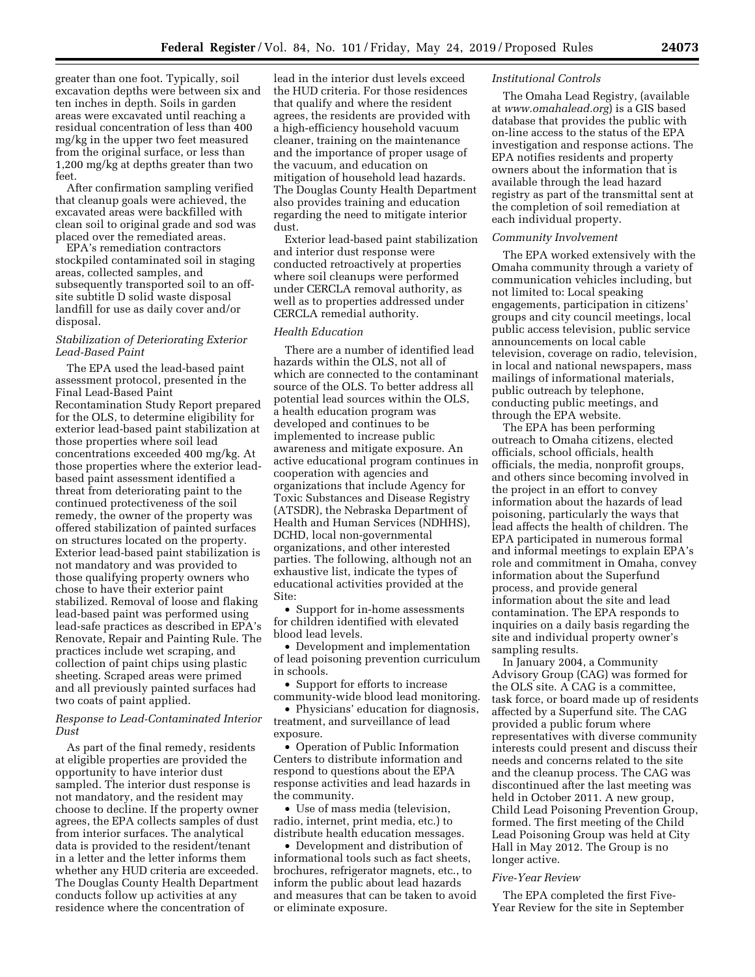greater than one foot. Typically, soil excavation depths were between six and ten inches in depth. Soils in garden areas were excavated until reaching a residual concentration of less than 400 mg/kg in the upper two feet measured from the original surface, or less than 1,200 mg/kg at depths greater than two feet.

After confirmation sampling verified that cleanup goals were achieved, the excavated areas were backfilled with clean soil to original grade and sod was placed over the remediated areas.

EPA's remediation contractors stockpiled contaminated soil in staging areas, collected samples, and subsequently transported soil to an offsite subtitle D solid waste disposal landfill for use as daily cover and/or disposal.

# *Stabilization of Deteriorating Exterior Lead-Based Paint*

The EPA used the lead-based paint assessment protocol, presented in the Final Lead-Based Paint Recontamination Study Report prepared for the OLS, to determine eligibility for exterior lead-based paint stabilization at those properties where soil lead concentrations exceeded 400 mg/kg. At those properties where the exterior leadbased paint assessment identified a threat from deteriorating paint to the continued protectiveness of the soil remedy, the owner of the property was offered stabilization of painted surfaces on structures located on the property. Exterior lead-based paint stabilization is not mandatory and was provided to those qualifying property owners who chose to have their exterior paint stabilized. Removal of loose and flaking lead-based paint was performed using lead-safe practices as described in EPA's Renovate, Repair and Painting Rule. The practices include wet scraping, and collection of paint chips using plastic sheeting. Scraped areas were primed and all previously painted surfaces had two coats of paint applied.

# *Response to Lead-Contaminated Interior Dust*

As part of the final remedy, residents at eligible properties are provided the opportunity to have interior dust sampled. The interior dust response is not mandatory, and the resident may choose to decline. If the property owner agrees, the EPA collects samples of dust from interior surfaces. The analytical data is provided to the resident/tenant in a letter and the letter informs them whether any HUD criteria are exceeded. The Douglas County Health Department conducts follow up activities at any residence where the concentration of

lead in the interior dust levels exceed the HUD criteria. For those residences that qualify and where the resident agrees, the residents are provided with a high-efficiency household vacuum cleaner, training on the maintenance and the importance of proper usage of the vacuum, and education on mitigation of household lead hazards. The Douglas County Health Department also provides training and education regarding the need to mitigate interior dust.

Exterior lead-based paint stabilization and interior dust response were conducted retroactively at properties where soil cleanups were performed under CERCLA removal authority, as well as to properties addressed under CERCLA remedial authority.

# *Health Education*

There are a number of identified lead hazards within the OLS, not all of which are connected to the contaminant source of the OLS. To better address all potential lead sources within the OLS, a health education program was developed and continues to be implemented to increase public awareness and mitigate exposure. An active educational program continues in cooperation with agencies and organizations that include Agency for Toxic Substances and Disease Registry (ATSDR), the Nebraska Department of Health and Human Services (NDHHS), DCHD, local non-governmental organizations, and other interested parties. The following, although not an exhaustive list, indicate the types of educational activities provided at the Site:

• Support for in-home assessments for children identified with elevated blood lead levels.

• Development and implementation of lead poisoning prevention curriculum in schools.

• Support for efforts to increase community-wide blood lead monitoring.

• Physicians' education for diagnosis, treatment, and surveillance of lead exposure.

• Operation of Public Information Centers to distribute information and respond to questions about the EPA response activities and lead hazards in the community.

• Use of mass media (television, radio, internet, print media, etc.) to distribute health education messages.

• Development and distribution of informational tools such as fact sheets, brochures, refrigerator magnets, etc., to inform the public about lead hazards and measures that can be taken to avoid or eliminate exposure.

#### *Institutional Controls*

The Omaha Lead Registry, (available at *[www.omahalead.org](http://www.omahalead.org)*) is a GIS based database that provides the public with on-line access to the status of the EPA investigation and response actions. The EPA notifies residents and property owners about the information that is available through the lead hazard registry as part of the transmittal sent at the completion of soil remediation at each individual property.

### *Community Involvement*

The EPA worked extensively with the Omaha community through a variety of communication vehicles including, but not limited to: Local speaking engagements, participation in citizens' groups and city council meetings, local public access television, public service announcements on local cable television, coverage on radio, television, in local and national newspapers, mass mailings of informational materials, public outreach by telephone, conducting public meetings, and through the EPA website.

The EPA has been performing outreach to Omaha citizens, elected officials, school officials, health officials, the media, nonprofit groups, and others since becoming involved in the project in an effort to convey information about the hazards of lead poisoning, particularly the ways that lead affects the health of children. The EPA participated in numerous formal and informal meetings to explain EPA's role and commitment in Omaha, convey information about the Superfund process, and provide general information about the site and lead contamination. The EPA responds to inquiries on a daily basis regarding the site and individual property owner's sampling results.

In January 2004, a Community Advisory Group (CAG) was formed for the OLS site. A CAG is a committee, task force, or board made up of residents affected by a Superfund site. The CAG provided a public forum where representatives with diverse community interests could present and discuss their needs and concerns related to the site and the cleanup process. The CAG was discontinued after the last meeting was held in October 2011. A new group, Child Lead Poisoning Prevention Group, formed. The first meeting of the Child Lead Poisoning Group was held at City Hall in May 2012. The Group is no longer active.

#### *Five-Year Review*

The EPA completed the first Five-Year Review for the site in September